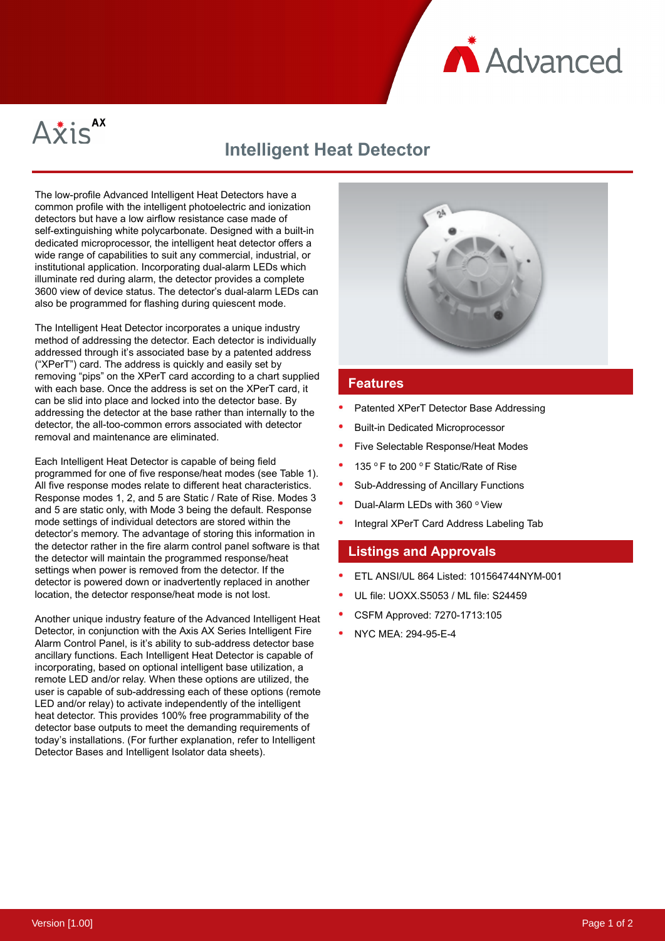

Axis<sup>AX</sup>

# **Intelligent Heat Detector**

The low-profile Advanced Intelligent Heat Detectors have a common profile with the intelligent photoelectric and ionization detectors but have a low airflow resistance case made of self-extinguishing white polycarbonate. Designed with a built-in dedicated microprocessor, the intelligent heat detector offers a wide range of capabilities to suit any commercial, industrial, or institutional application. Incorporating dual-alarm LEDs which illuminate red during alarm, the detector provides a complete 3600 view of device status. The detector's dual-alarm LEDs can also be programmed for flashing during quiescent mode.

The Intelligent Heat Detector incorporates a unique industry method of addressing the detector. Each detector is individually addressed through it's associated base by a patented address ("XPerT") card. The address is quickly and easily set by removing "pips" on the XPerT card according to a chart supplied with each base. Once the address is set on the XPerT card, it can be slid into place and locked into the detector base. By addressing the detector at the base rather than internally to the detector, the all-too-common errors associated with detector removal and maintenance are eliminated.

Each Intelligent Heat Detector is capable of being field programmed for one of five response/heat modes (see Table 1). All five response modes relate to different heat characteristics. Response modes 1, 2, and 5 are Static / Rate of Rise. Modes 3 and 5 are static only, with Mode 3 being the default. Response mode settings of individual detectors are stored within the detector's memory. The advantage of storing this information in the detector rather in the fire alarm control panel software is that the detector will maintain the programmed response/heat settings when power is removed from the detector. If the detector is powered down or inadvertently replaced in another location, the detector response/heat mode is not lost.

Another unique industry feature of the Advanced Intelligent Heat Detector, in conjunction with the Axis AX Series Intelligent Fire Alarm Control Panel, is it's ability to sub-address detector base ancillary functions. Each Intelligent Heat Detector is capable of incorporating, based on optional intelligent base utilization, a remote LED and/or relay. When these options are utilized, the user is capable of sub-addressing each of these options (remote LED and/or relay) to activate independently of the intelligent heat detector. This provides 100% free programmability of the detector base outputs to meet the demanding requirements of today's installations. (For further explanation, refer to Intelligent Detector Bases and Intelligent Isolator data sheets).



### **Features**

- Patented XPerT Detector Base Addressing
- Built-in Dedicated Microprocessor
- Five Selectable Response/Heat Modes
- 135 ° F to 200 ° F Static/Rate of Rise
- Sub-Addressing of Ancillary Functions
- Dual-Alarm LEDs with 360 ° View
- Integral XPerT Card Address Labeling Tab

#### **Listings and Approvals**

- ETL ANSI/UL 864 Listed: 101564744NYM-001
- UL file: UOXX.S5053 / ML file: S24459
- CSFM Approved: 7270-1713:105
- NYC MEA: 294-95-E-4